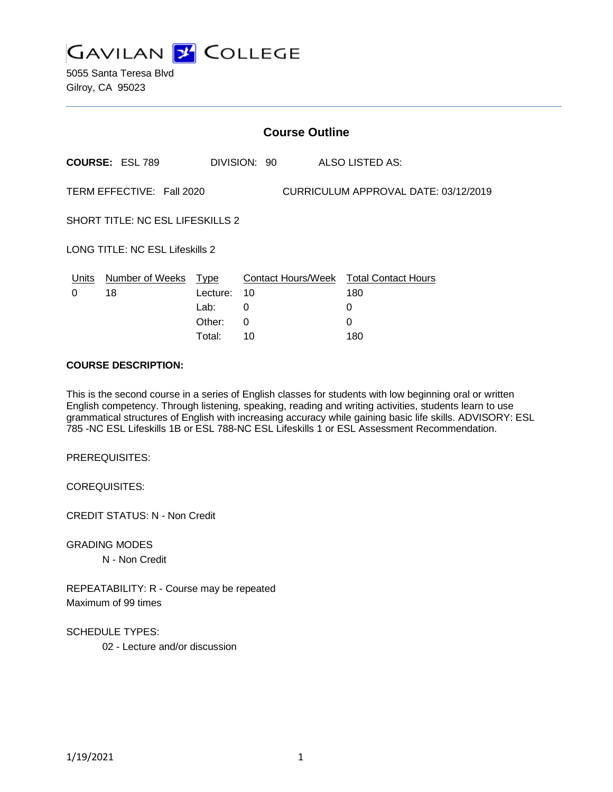

5055 Santa Teresa Blvd Gilroy, CA 95023

| <b>Course Outline</b>                                             |                            |          |              |                                        |
|-------------------------------------------------------------------|----------------------------|----------|--------------|----------------------------------------|
|                                                                   | <b>COURSE: ESL 789</b>     |          | DIVISION: 90 | ALSO LISTED AS:                        |
| TERM EFFECTIVE: Fall 2020<br>CURRICULUM APPROVAL DATE: 03/12/2019 |                            |          |              |                                        |
| <b>SHORT TITLE: NC ESL LIFESKILLS 2</b>                           |                            |          |              |                                        |
| <b>LONG TITLE: NC ESL Lifeskills 2</b>                            |                            |          |              |                                        |
|                                                                   | Units Number of Weeks Type |          |              | Contact Hours/Week Total Contact Hours |
| 0                                                                 | 18                         | Lecture: | 10           | 180                                    |
|                                                                   |                            | Lab:     | 0            | 0                                      |
|                                                                   |                            | Other:   | 0            | $\Omega$                               |
|                                                                   |                            | Total:   | 10           | 180                                    |

### **COURSE DESCRIPTION:**

This is the second course in a series of English classes for students with low beginning oral or written English competency. Through listening, speaking, reading and writing activities, students learn to use grammatical structures of English with increasing accuracy while gaining basic life skills. ADVISORY: ESL 785 -NC ESL Lifeskills 1B or ESL 788-NC ESL Lifeskills 1 or ESL Assessment Recommendation.

PREREQUISITES:

COREQUISITES:

CREDIT STATUS: N - Non Credit

GRADING MODES

N - Non Credit

REPEATABILITY: R - Course may be repeated Maximum of 99 times

SCHEDULE TYPES:

02 - Lecture and/or discussion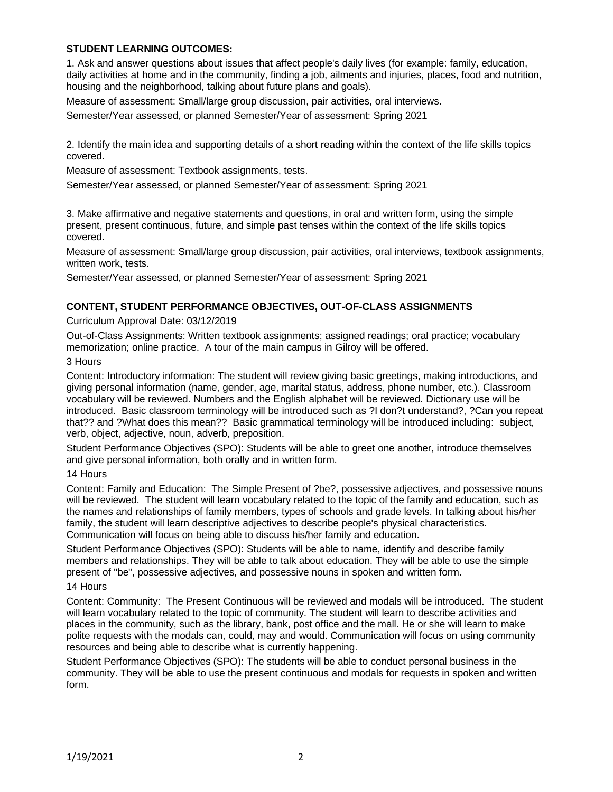# **STUDENT LEARNING OUTCOMES:**

1. Ask and answer questions about issues that affect people's daily lives (for example: family, education, daily activities at home and in the community, finding a job, ailments and injuries, places, food and nutrition, housing and the neighborhood, talking about future plans and goals).

Measure of assessment: Small/large group discussion, pair activities, oral interviews.

Semester/Year assessed, or planned Semester/Year of assessment: Spring 2021

2. Identify the main idea and supporting details of a short reading within the context of the life skills topics covered.

Measure of assessment: Textbook assignments, tests.

Semester/Year assessed, or planned Semester/Year of assessment: Spring 2021

3. Make affirmative and negative statements and questions, in oral and written form, using the simple present, present continuous, future, and simple past tenses within the context of the life skills topics covered.

Measure of assessment: Small/large group discussion, pair activities, oral interviews, textbook assignments, written work, tests.

Semester/Year assessed, or planned Semester/Year of assessment: Spring 2021

# **CONTENT, STUDENT PERFORMANCE OBJECTIVES, OUT-OF-CLASS ASSIGNMENTS**

### Curriculum Approval Date: 03/12/2019

Out-of-Class Assignments: Written textbook assignments; assigned readings; oral practice; vocabulary memorization; online practice. A tour of the main campus in Gilroy will be offered.

#### 3 Hours

Content: Introductory information: The student will review giving basic greetings, making introductions, and giving personal information (name, gender, age, marital status, address, phone number, etc.). Classroom vocabulary will be reviewed. Numbers and the English alphabet will be reviewed. Dictionary use will be introduced. Basic classroom terminology will be introduced such as ?I don?t understand?, ?Can you repeat that?? and ?What does this mean?? Basic grammatical terminology will be introduced including: subject, verb, object, adjective, noun, adverb, preposition.

Student Performance Objectives (SPO): Students will be able to greet one another, introduce themselves and give personal information, both orally and in written form.

# 14 Hours

Content: Family and Education: The Simple Present of ?be?, possessive adjectives, and possessive nouns will be reviewed. The student will learn vocabulary related to the topic of the family and education, such as the names and relationships of family members, types of schools and grade levels. In talking about his/her family, the student will learn descriptive adjectives to describe people's physical characteristics. Communication will focus on being able to discuss his/her family and education.

Student Performance Objectives (SPO): Students will be able to name, identify and describe family members and relationships. They will be able to talk about education. They will be able to use the simple present of "be", possessive adjectives, and possessive nouns in spoken and written form.

#### 14 Hours

Content: Community: The Present Continuous will be reviewed and modals will be introduced. The student will learn vocabulary related to the topic of community. The student will learn to describe activities and places in the community, such as the library, bank, post office and the mall. He or she will learn to make polite requests with the modals can, could, may and would. Communication will focus on using community resources and being able to describe what is currently happening.

Student Performance Objectives (SPO): The students will be able to conduct personal business in the community. They will be able to use the present continuous and modals for requests in spoken and written form.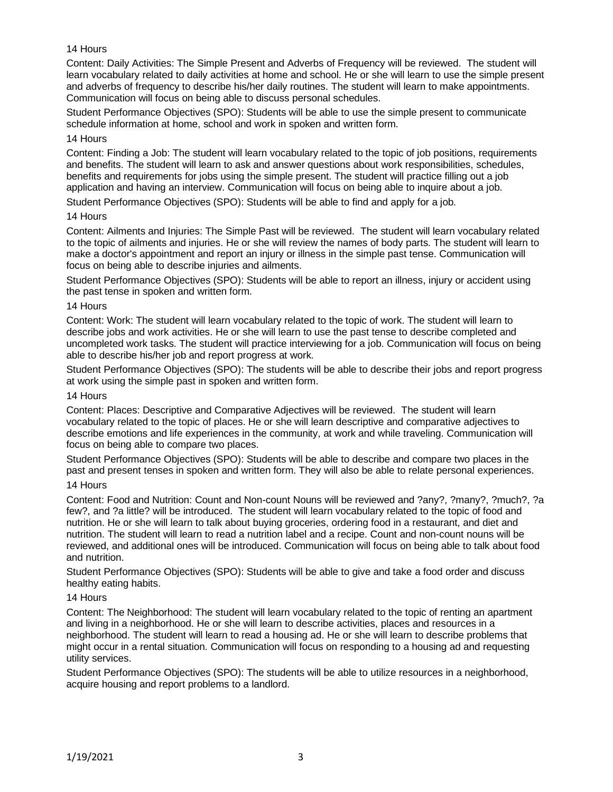# 14 Hours

Content: Daily Activities: The Simple Present and Adverbs of Frequency will be reviewed. The student will learn vocabulary related to daily activities at home and school. He or she will learn to use the simple present and adverbs of frequency to describe his/her daily routines. The student will learn to make appointments. Communication will focus on being able to discuss personal schedules.

Student Performance Objectives (SPO): Students will be able to use the simple present to communicate schedule information at home, school and work in spoken and written form.

#### 14 Hours

Content: Finding a Job: The student will learn vocabulary related to the topic of job positions, requirements and benefits. The student will learn to ask and answer questions about work responsibilities, schedules, benefits and requirements for jobs using the simple present. The student will practice filling out a job application and having an interview. Communication will focus on being able to inquire about a job.

Student Performance Objectives (SPO): Students will be able to find and apply for a job.

#### 14 Hours

Content: Ailments and Injuries: The Simple Past will be reviewed. The student will learn vocabulary related to the topic of ailments and injuries. He or she will review the names of body parts. The student will learn to make a doctor's appointment and report an injury or illness in the simple past tense. Communication will focus on being able to describe injuries and ailments.

Student Performance Objectives (SPO): Students will be able to report an illness, injury or accident using the past tense in spoken and written form.

#### 14 Hours

Content: Work: The student will learn vocabulary related to the topic of work. The student will learn to describe jobs and work activities. He or she will learn to use the past tense to describe completed and uncompleted work tasks. The student will practice interviewing for a job. Communication will focus on being able to describe his/her job and report progress at work.

Student Performance Objectives (SPO): The students will be able to describe their jobs and report progress at work using the simple past in spoken and written form.

#### 14 Hours

Content: Places: Descriptive and Comparative Adjectives will be reviewed. The student will learn vocabulary related to the topic of places. He or she will learn descriptive and comparative adjectives to describe emotions and life experiences in the community, at work and while traveling. Communication will focus on being able to compare two places.

Student Performance Objectives (SPO): Students will be able to describe and compare two places in the past and present tenses in spoken and written form. They will also be able to relate personal experiences.

#### 14 Hours

Content: Food and Nutrition: Count and Non-count Nouns will be reviewed and ?any?, ?many?, ?much?, ?a few?, and ?a little? will be introduced. The student will learn vocabulary related to the topic of food and nutrition. He or she will learn to talk about buying groceries, ordering food in a restaurant, and diet and nutrition. The student will learn to read a nutrition label and a recipe. Count and non-count nouns will be reviewed, and additional ones will be introduced. Communication will focus on being able to talk about food and nutrition.

Student Performance Objectives (SPO): Students will be able to give and take a food order and discuss healthy eating habits.

#### 14 Hours

Content: The Neighborhood: The student will learn vocabulary related to the topic of renting an apartment and living in a neighborhood. He or she will learn to describe activities, places and resources in a neighborhood. The student will learn to read a housing ad. He or she will learn to describe problems that might occur in a rental situation. Communication will focus on responding to a housing ad and requesting utility services.

Student Performance Objectives (SPO): The students will be able to utilize resources in a neighborhood, acquire housing and report problems to a landlord.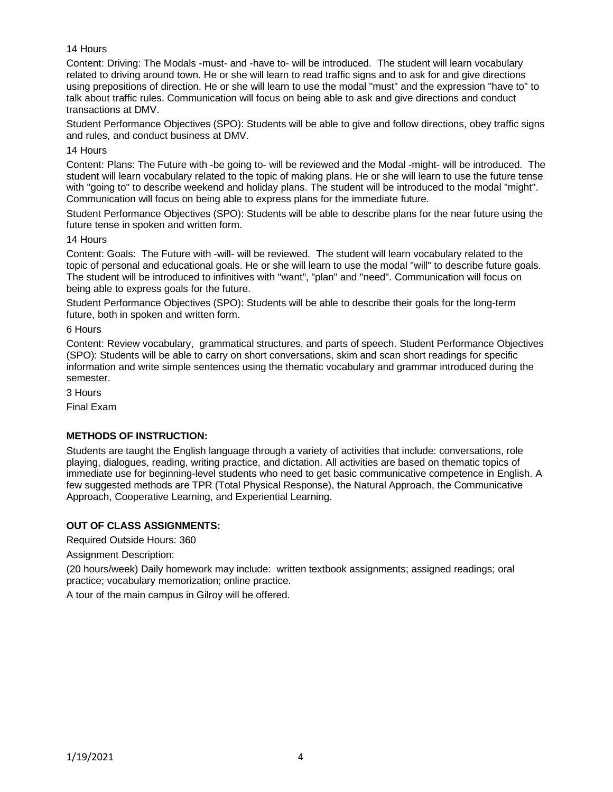# 14 Hours

Content: Driving: The Modals -must- and -have to- will be introduced. The student will learn vocabulary related to driving around town. He or she will learn to read traffic signs and to ask for and give directions using prepositions of direction. He or she will learn to use the modal "must" and the expression "have to" to talk about traffic rules. Communication will focus on being able to ask and give directions and conduct transactions at DMV.

Student Performance Objectives (SPO): Students will be able to give and follow directions, obey traffic signs and rules, and conduct business at DMV.

14 Hours

Content: Plans: The Future with -be going to- will be reviewed and the Modal -might- will be introduced. The student will learn vocabulary related to the topic of making plans. He or she will learn to use the future tense with "going to" to describe weekend and holiday plans. The student will be introduced to the modal "might". Communication will focus on being able to express plans for the immediate future.

Student Performance Objectives (SPO): Students will be able to describe plans for the near future using the future tense in spoken and written form.

### 14 Hours

Content: Goals: The Future with -will- will be reviewed. The student will learn vocabulary related to the topic of personal and educational goals. He or she will learn to use the modal "will" to describe future goals. The student will be introduced to infinitives with "want", "plan" and "need". Communication will focus on being able to express goals for the future.

Student Performance Objectives (SPO): Students will be able to describe their goals for the long-term future, both in spoken and written form.

6 Hours

Content: Review vocabulary, grammatical structures, and parts of speech. Student Performance Objectives (SPO): Students will be able to carry on short conversations, skim and scan short readings for specific information and write simple sentences using the thematic vocabulary and grammar introduced during the semester.

3 Hours

Final Exam

# **METHODS OF INSTRUCTION:**

Students are taught the English language through a variety of activities that include: conversations, role playing, dialogues, reading, writing practice, and dictation. All activities are based on thematic topics of immediate use for beginning-level students who need to get basic communicative competence in English. A few suggested methods are TPR (Total Physical Response), the Natural Approach, the Communicative Approach, Cooperative Learning, and Experiential Learning.

# **OUT OF CLASS ASSIGNMENTS:**

Required Outside Hours: 360

Assignment Description:

(20 hours/week) Daily homework may include: written textbook assignments; assigned readings; oral practice; vocabulary memorization; online practice.

A tour of the main campus in Gilroy will be offered.